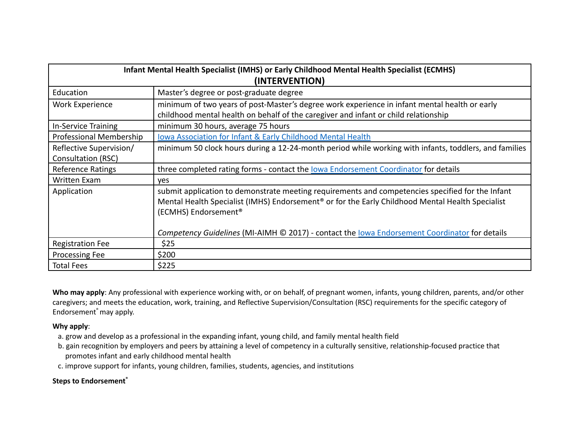| Infant Mental Health Specialist (IMHS) or Early Childhood Mental Health Specialist (ECMHS) |                                                                                                                                                                                                                                                      |
|--------------------------------------------------------------------------------------------|------------------------------------------------------------------------------------------------------------------------------------------------------------------------------------------------------------------------------------------------------|
| (INTERVENTION)                                                                             |                                                                                                                                                                                                                                                      |
| Education                                                                                  | Master's degree or post-graduate degree                                                                                                                                                                                                              |
| <b>Work Experience</b>                                                                     | minimum of two years of post-Master's degree work experience in infant mental health or early                                                                                                                                                        |
|                                                                                            | childhood mental health on behalf of the caregiver and infant or child relationship                                                                                                                                                                  |
| In-Service Training                                                                        | minimum 30 hours, average 75 hours                                                                                                                                                                                                                   |
| Professional Membership                                                                    | <b>Iowa Association for Infant &amp; Early Childhood Mental Health</b>                                                                                                                                                                               |
| Reflective Supervision/                                                                    | minimum 50 clock hours during a 12-24-month period while working with infants, toddlers, and families                                                                                                                                                |
| Consultation (RSC)                                                                         |                                                                                                                                                                                                                                                      |
| <b>Reference Ratings</b>                                                                   | three completed rating forms - contact the lowa Endorsement Coordinator for details                                                                                                                                                                  |
| <b>Written Exam</b>                                                                        | <b>ves</b>                                                                                                                                                                                                                                           |
| Application                                                                                | submit application to demonstrate meeting requirements and competencies specified for the Infant<br>Mental Health Specialist (IMHS) Endorsement <sup>®</sup> or for the Early Childhood Mental Health Specialist<br>(ECMHS) Endorsement <sup>®</sup> |
|                                                                                            | Competency Guidelines (MI-AIMH © 2017) - contact the lowa Endorsement Coordinator for details                                                                                                                                                        |
| <b>Registration Fee</b>                                                                    | \$25                                                                                                                                                                                                                                                 |
| Processing Fee                                                                             | \$200                                                                                                                                                                                                                                                |
| <b>Total Fees</b>                                                                          | \$225                                                                                                                                                                                                                                                |

**Who may apply**: Any professional with experience working with, or on behalf, of pregnant women, infants, young children, parents, and/or other caregivers; and meets the education, work, training, and Reflective Supervision/Consultation (RSC) requirements for the specific category of Endorsement ®may apply.

## **Why apply**:

- a. grow and develop as a professional in the expanding infant, young child, and family mental health field
- b. gain recognition by employers and peers by attaining a level of competency in a culturally sensitive, relationship-focused practice that promotes infant and early childhood mental health
- c. improve support for infants, young children, families, students, agencies, and institutions

## **Steps to Endorsement ®**